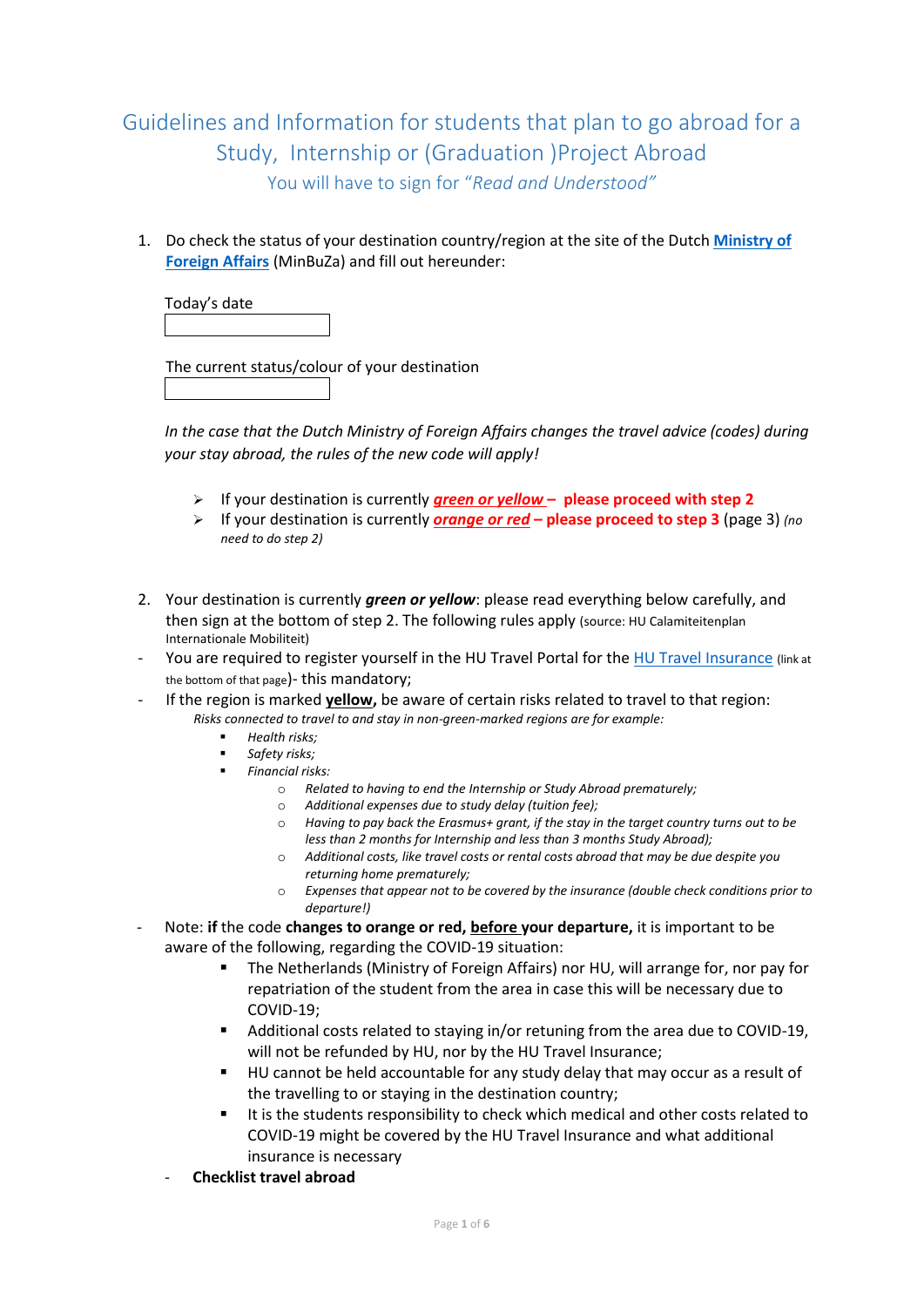## Guidelines and Information for students that plan to go abroad for a Study, Internship or (Graduation )Project Abroad You will have to sign for "*Read and Understood"*

1. Do check the status of your destination country/region at the site of the Dutch **[Ministry of](https://www.nederlandwereldwijd.nl/reizen/reisadviezen)  [Foreign Affairs](https://www.nederlandwereldwijd.nl/reizen/reisadviezen)** (MinBuZa) and fill out hereunder:

Today's date

The current status/colour of your destination

*In the case that the Dutch Ministry of Foreign Affairs changes the travel advice (codes) during your stay abroad, the rules of the new code will apply!*

- ➢ If your destination is currently *green or yellow* **– please proceed with step 2**
- ➢ If your destination is currently *orange or red* **– please proceed to step 3** (page 3) *(no need to do step 2)*
- 2. Your destination is currently *green or yellow*: please read everything below carefully, and then sign at the bottom of step 2. The following rules apply (source: HU Calamiteitenplan Internationale Mobiliteit)
- You are required to register yourself in the HU Travel Portal for the [HU Travel Insurance](https://askhu.sharepoint.hu.nl/informatie-items/Paginas/Registration%20and%20free%20insurance.aspx) (link at the bottom of that page)- this mandatory;
- If the region is marked **yellow,** be aware of certain risks related to travel to that region: *Risks connected to travel to and stay in non-green-marked regions are for example:* 
	- *Health risks;*
	- *Safety risks;*
	- *Financial risks:*
		- o *Related to having to end the Internship or Study Abroad prematurely;*
		- o *Additional expenses due to study delay (tuition fee);*
		- o *Having to pay back the Erasmus+ grant, if the stay in the target country turns out to be less than 2 months for Internship and less than 3 months Study Abroad);*
		- o *Additional costs, like travel costs or rental costs abroad that may be due despite you returning home prematurely;*
		- o *Expenses that appear not to be covered by the insurance (double check conditions prior to departure!)*
- Note: **if** the code **changes to orange or red, before your departure,** it is important to be aware of the following, regarding the COVID-19 situation:
	- The Netherlands (Ministry of Foreign Affairs) nor HU, will arrange for, nor pay for repatriation of the student from the area in case this will be necessary due to COVID-19;
	- Additional costs related to staying in/or retuning from the area due to COVID-19, will not be refunded by HU, nor by the HU Travel Insurance;
	- HU cannot be held accountable for any study delay that may occur as a result of the travelling to or staying in the destination country;
	- It is the students responsibility to check which medical and other costs related to COVID-19 might be covered by the HU Travel Insurance and what additional insurance is necessary
	- **Checklist travel abroad**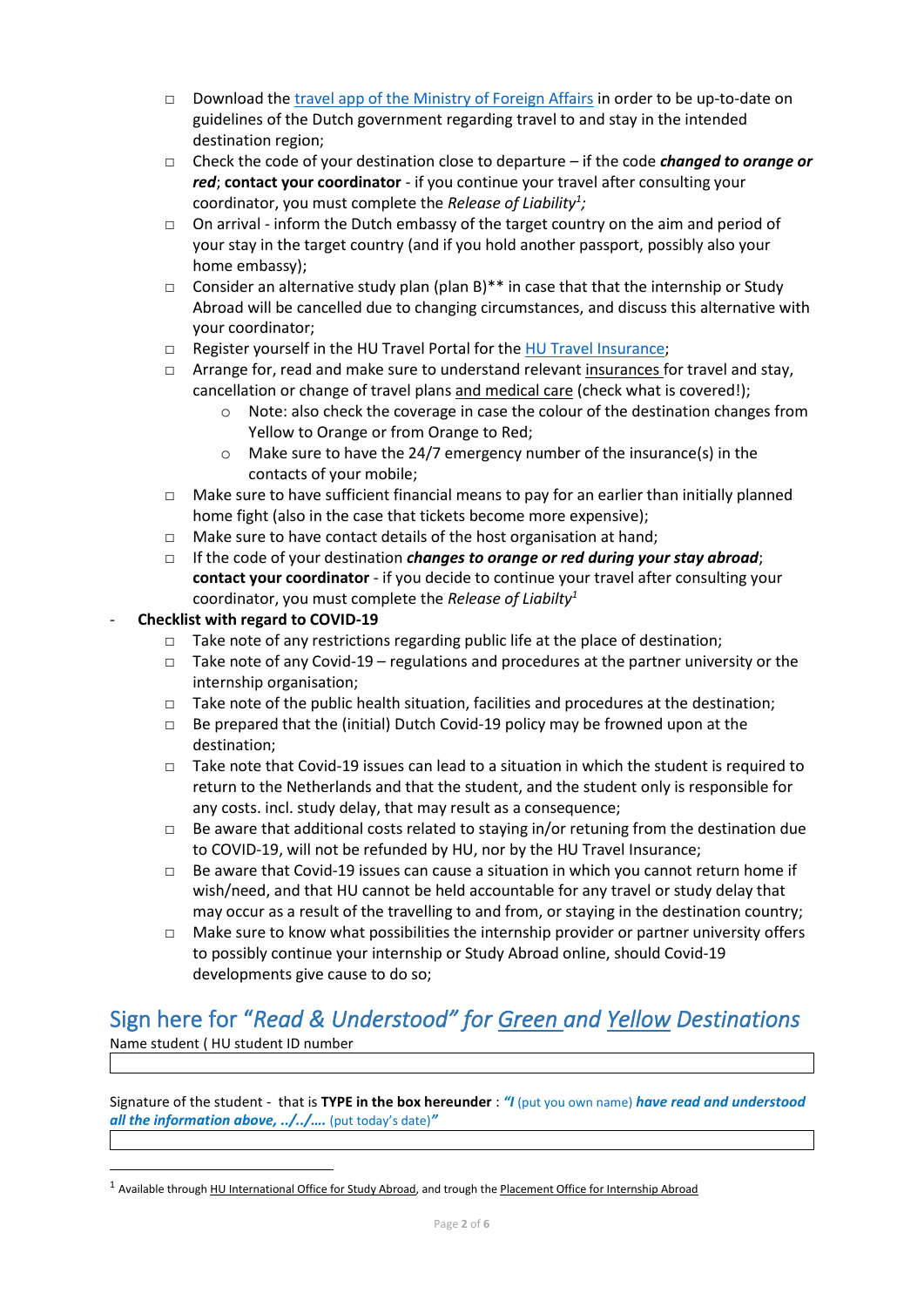- □ Download the [travel app of the Ministry](https://www.government.nl/topics/embassies-consulates-and-other-representations/the-bz-24-7-contact-centre-for-consular-assistance-and-advice) of Foreign Affairs in order to be up-to-date on guidelines of the Dutch government regarding travel to and stay in the intended destination region;
- □ Check the code of your destination close to departure if the code *changed to orange or red*; **contact your coordinator** - if you continue your travel after consulting your coordinator, you must complete the *Release of Liability<sup>1</sup> ;*
- $\Box$  On arrival inform the Dutch embassy of the target country on the aim and period of your stay in the target country (and if you hold another passport, possibly also your home embassy);
- □ Consider an alternative study plan (plan B) \*\* in case that that the internship or Study Abroad will be cancelled due to changing circumstances, and discuss this alternative with your coordinator;
- □ Register yourself in the HU Travel Portal for the [HU Travel Insurance;](https://askhu.sharepoint.hu.nl/informatie-items/Paginas/Registration%20and%20free%20insurance.aspx)
- $\Box$  Arrange for, read and make sure to understand relevant insurances for travel and stay, cancellation or change of travel plans and medical care (check what is covered!);
	- $\circ$  Note: also check the coverage in case the colour of the destination changes from Yellow to Orange or from Orange to Red;
	- o Make sure to have the 24/7 emergency number of the insurance(s) in the contacts of your mobile;
- $\Box$  Make sure to have sufficient financial means to pay for an earlier than initially planned home fight (also in the case that tickets become more expensive);
- □ Make sure to have contact details of the host organisation at hand;
- □ If the code of your destination *changes to orange or red during your stay abroad*; **contact your coordinator** - if you decide to continue your travel after consulting your coordinator, you must complete the *Release of Liabilty<sup>1</sup>*

### - **Checklist with regard to COVID-19**

- $\Box$  Take note of any restrictions regarding public life at the place of destination:
- $\Box$  Take note of any Covid-19 regulations and procedures at the partner university or the internship organisation;
- $\Box$  Take note of the public health situation, facilities and procedures at the destination;
- $\Box$  Be prepared that the (initial) Dutch Covid-19 policy may be frowned upon at the destination;
- $\Box$  Take note that Covid-19 issues can lead to a situation in which the student is required to return to the Netherlands and that the student, and the student only is responsible for any costs. incl. study delay, that may result as a consequence;
- $\Box$  Be aware that additional costs related to staying in/or retuning from the destination due to COVID-19, will not be refunded by HU, nor by the HU Travel Insurance;
- $\Box$  Be aware that Covid-19 issues can cause a situation in which you cannot return home if wish/need, and that HU cannot be held accountable for any travel or study delay that may occur as a result of the travelling to and from, or staying in the destination country;
- $\Box$  Make sure to know what possibilities the internship provider or partner university offers to possibly continue your internship or Study Abroad online, should Covid-19 developments give cause to do so;

# Sign here for "*Read & Understood" for Green and Yellow Destinations*

Name student ( HU student ID number

Signature of the student - that is **TYPE in the box hereunder** : *"I* (put you own name) *have read and understood all the information above, ../../….* (put today's date)*"*

<sup>&</sup>lt;sup>1</sup> Available through HU International Office for Study Abroad, and trough the Placement Office for Internship Abroad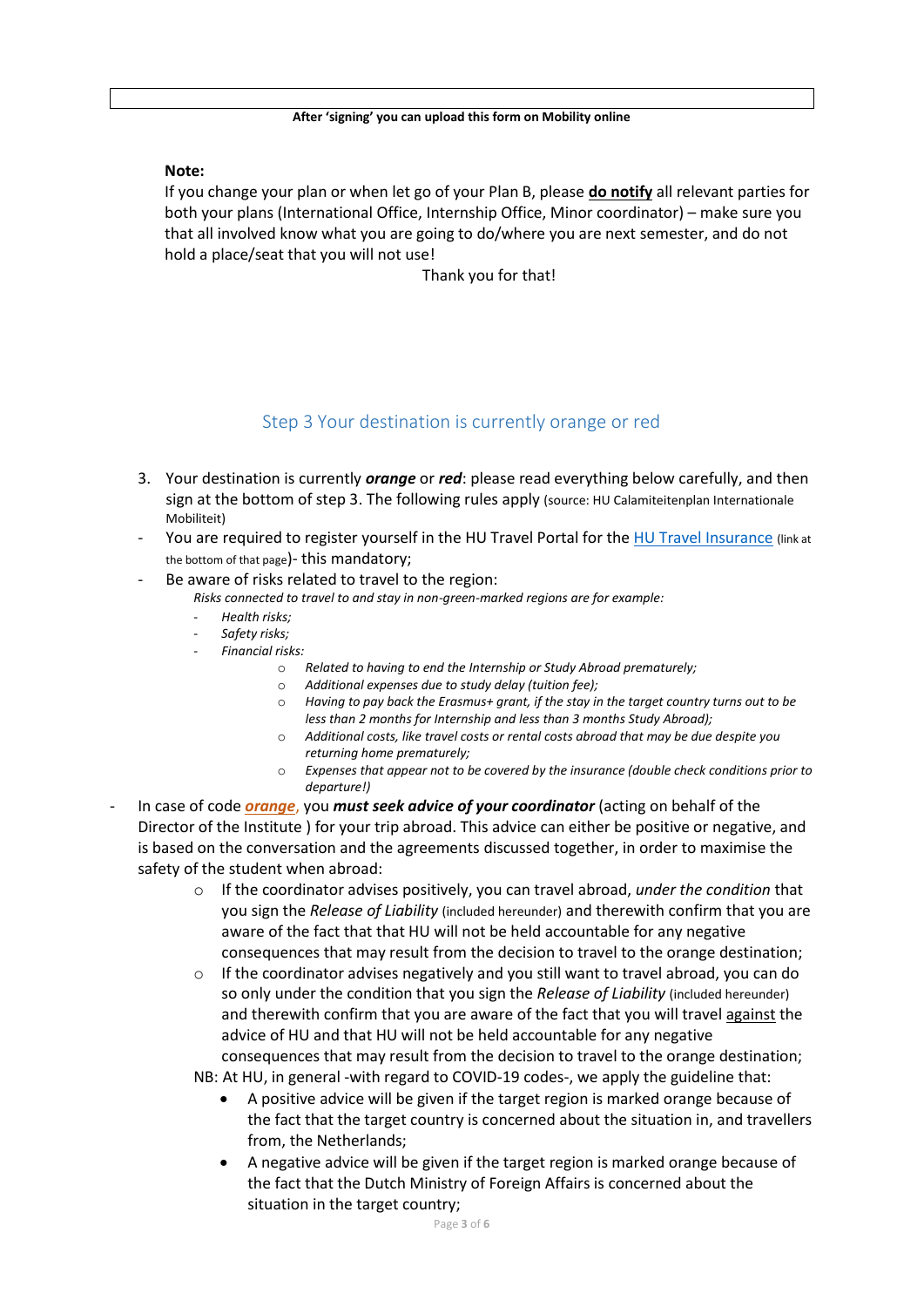#### **Note:**

If you change your plan or when let go of your Plan B, please **do notify** all relevant parties for both your plans (International Office, Internship Office, Minor coordinator) – make sure you that all involved know what you are going to do/where you are next semester, and do not hold a place/seat that you will not use!

Thank you for that!

## Step 3 Your destination is currently orange or red

- 3. Your destination is currently *orange* or *red*: please read everything below carefully, and then sign at the bottom of step 3. The following rules apply (source: HU Calamiteitenplan Internationale Mobiliteit)
- You are required to register yourself in the HU Travel Portal for the [HU Travel Insurance](https://askhu.sharepoint.hu.nl/informatie-items/Paginas/Registration%20and%20free%20insurance.aspx) (link at the bottom of that page)- this mandatory;
- Be aware of risks related to travel to the region:
	- *Risks connected to travel to and stay in non-green-marked regions are for example:*
	- *Health risks;*
	- *Safety risks;*
	- *Financial risks:*
		- o *Related to having to end the Internship or Study Abroad prematurely;*
		- o *Additional expenses due to study delay (tuition fee);*
		- o *Having to pay back the Erasmus+ grant, if the stay in the target country turns out to be less than 2 months for Internship and less than 3 months Study Abroad);*
		- o *Additional costs, like travel costs or rental costs abroad that may be due despite you returning home prematurely;*
		- Expenses that appear not to be covered by the insurance (double check conditions prior to *departure!)*
- In case of code *orange*, you *must seek advice of your coordinator* (acting on behalf of the Director of the Institute ) for your trip abroad. This advice can either be positive or negative, and is based on the conversation and the agreements discussed together, in order to maximise the safety of the student when abroad:
	- o If the coordinator advises positively, you can travel abroad, *under the condition* that you sign the *Release of Liability* (included hereunder) and therewith confirm that you are aware of the fact that that HU will not be held accountable for any negative consequences that may result from the decision to travel to the orange destination;
	- $\circ$  If the coordinator advises negatively and you still want to travel abroad, you can do so only under the condition that you sign the *Release of Liability* (included hereunder) and therewith confirm that you are aware of the fact that you will travel against the advice of HU and that HU will not be held accountable for any negative consequences that may result from the decision to travel to the orange destination;

NB: At HU, in general -with regard to COVID-19 codes-, we apply the guideline that:

- A positive advice will be given if the target region is marked orange because of the fact that the target country is concerned about the situation in, and travellers from, the Netherlands;
- A negative advice will be given if the target region is marked orange because of the fact that the Dutch Ministry of Foreign Affairs is concerned about the situation in the target country;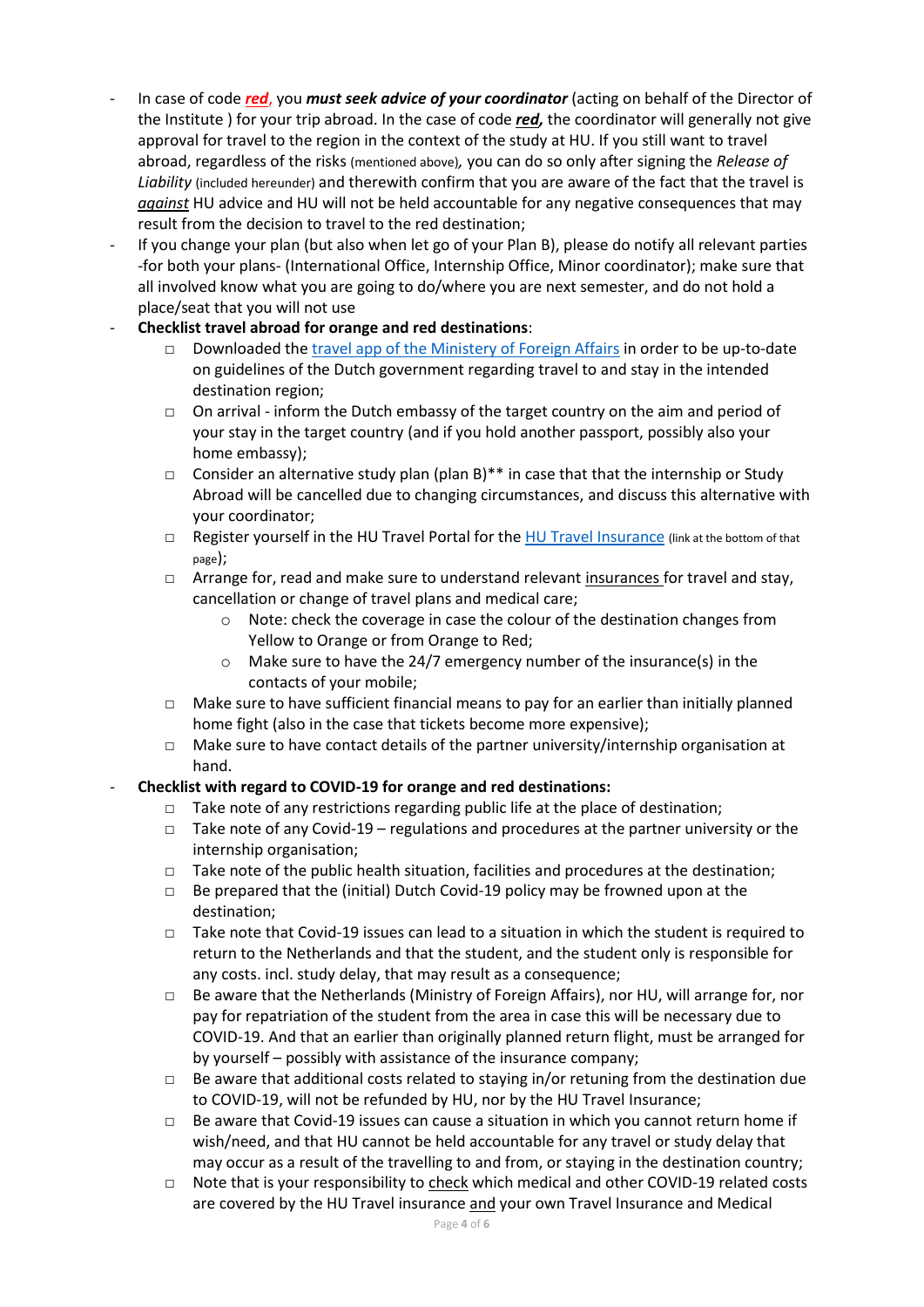- In case of code *red*, you *must seek advice of your coordinator* (acting on behalf of the Director of the Institute ) for your trip abroad. In the case of code *red,* the coordinator will generally not give approval for travel to the region in the context of the study at HU. If you still want to travel abroad, regardless of the risks (mentioned above)*,* you can do so only after signing the *Release of Liability* (included hereunder) and therewith confirm that you are aware of the fact that the travel is *against* HU advice and HU will not be held accountable for any negative consequences that may result from the decision to travel to the red destination;
- If you change your plan (but also when let go of your Plan B), please do notify all relevant parties -for both your plans- (International Office, Internship Office, Minor coordinator); make sure that all involved know what you are going to do/where you are next semester, and do not hold a place/seat that you will not use
- **Checklist travel abroad for orange and red destinations**:
	- □ Downloaded the [travel app of the Ministery of Foreign Affairs](https://www.government.nl/topics/embassies-consulates-and-other-representations/the-bz-24-7-contact-centre-for-consular-assistance-and-advice) in order to be up-to-date on guidelines of the Dutch government regarding travel to and stay in the intended destination region;
	- $\Box$  On arrival inform the Dutch embassy of the target country on the aim and period of your stay in the target country (and if you hold another passport, possibly also your home embassy);
	- □ Consider an alternative study plan (plan B) \*\* in case that that the internship or Study Abroad will be cancelled due to changing circumstances, and discuss this alternative with your coordinator;
	- □ Register yourself in the HU Travel Portal for the [HU Travel Insurance](https://askhu.sharepoint.hu.nl/informatie-items/Paginas/Registration%20and%20free%20insurance.aspx) (link at the bottom of that page);
	- $\Box$  Arrange for, read and make sure to understand relevant insurances for travel and stay, cancellation or change of travel plans and medical care;
		- o Note: check the coverage in case the colour of the destination changes from Yellow to Orange or from Orange to Red;
		- o Make sure to have the 24/7 emergency number of the insurance(s) in the contacts of your mobile;
	- $\Box$  Make sure to have sufficient financial means to pay for an earlier than initially planned home fight (also in the case that tickets become more expensive);
	- □ Make sure to have contact details of the partner university/internship organisation at hand.

### - **Checklist with regard to COVID-19 for orange and red destinations:**

- $\Box$  Take note of any restrictions regarding public life at the place of destination;
- □ Take note of any Covid-19 regulations and procedures at the partner university or the internship organisation;
- $\Box$  Take note of the public health situation, facilities and procedures at the destination;
- □ Be prepared that the (initial) Dutch Covid-19 policy may be frowned upon at the destination;
- $\Box$  Take note that Covid-19 issues can lead to a situation in which the student is required to return to the Netherlands and that the student, and the student only is responsible for any costs. incl. study delay, that may result as a consequence;
- □ Be aware that the Netherlands (Ministry of Foreign Affairs), nor HU, will arrange for, nor pay for repatriation of the student from the area in case this will be necessary due to COVID-19. And that an earlier than originally planned return flight, must be arranged for by yourself – possibly with assistance of the insurance company;
- $\Box$  Be aware that additional costs related to staying in/or retuning from the destination due to COVID-19, will not be refunded by HU, nor by the HU Travel Insurance;
- $\Box$  Be aware that Covid-19 issues can cause a situation in which you cannot return home if wish/need, and that HU cannot be held accountable for any travel or study delay that may occur as a result of the travelling to and from, or staying in the destination country;
- □ Note that is your responsibility to check which medical and other COVID-19 related costs are covered by the HU Travel insurance and your own Travel Insurance and Medical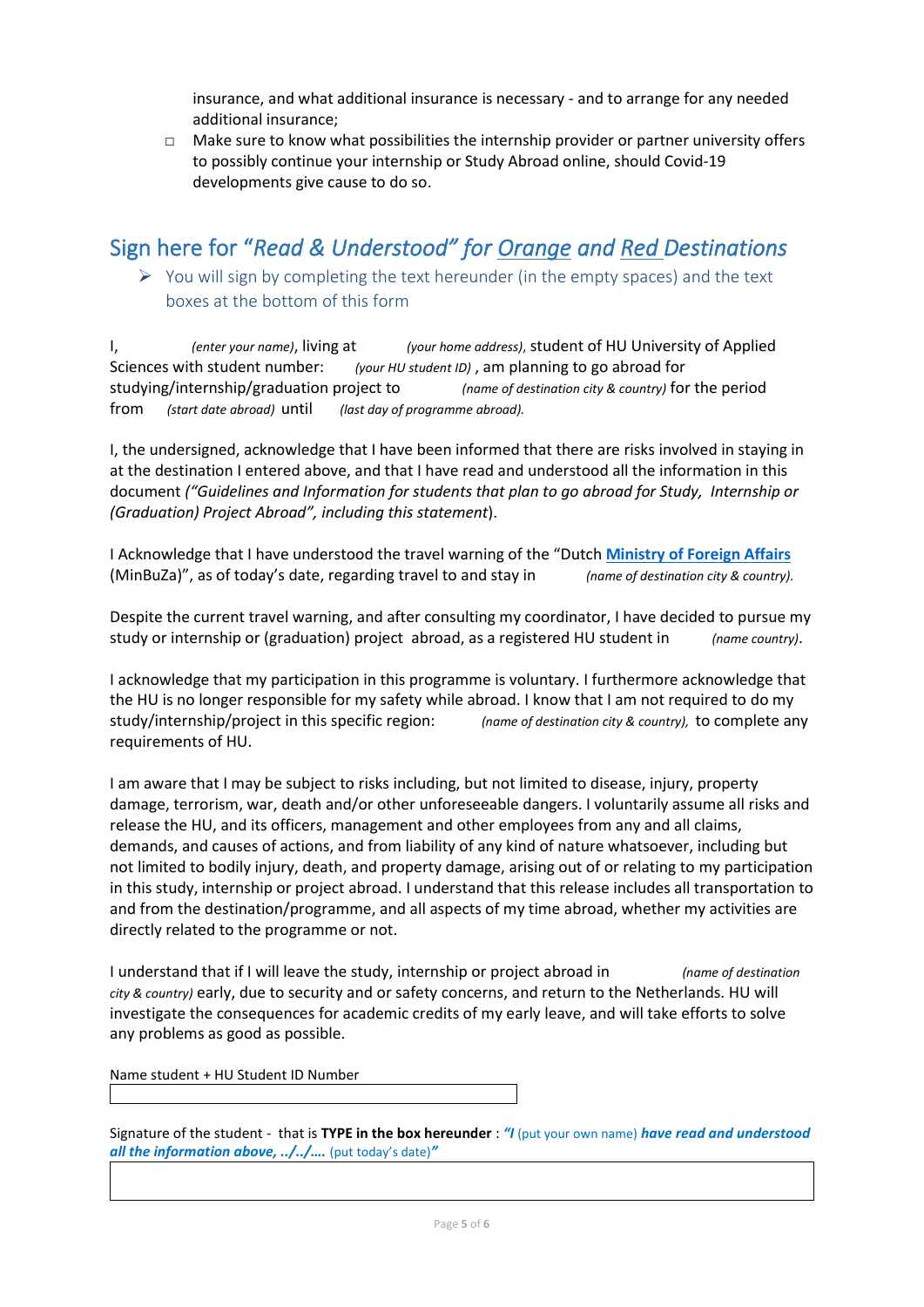insurance, and what additional insurance is necessary - and to arrange for any needed additional insurance;

 $\Box$  Make sure to know what possibilities the internship provider or partner university offers to possibly continue your internship or Study Abroad online, should Covid-19 developments give cause to do so.

## Sign here for "*Read & Understood" for Orange and Red Destinations*

➢ You will sign by completing the text hereunder (in the empty spaces) and the text boxes at the bottom of this form

I, *(enter your name)*, living at *(your home address)*, student of HU University of Applied Sciences with student number: *(your HU student ID)* , am planning to go abroad for studying/internship/graduation project to *(name of destination city & country)* for the period from *(start date abroad)* until *(last day of programme abroad).*

I, the undersigned, acknowledge that I have been informed that there are risks involved in staying in at the destination I entered above, and that I have read and understood all the information in this document *("Guidelines and Information for students that plan to go abroad for Study, Internship or (Graduation) Project Abroad", including this statement*).

I Acknowledge that I have understood the travel warning of the "Dutch **[Ministry of Foreign Affairs](https://www.nederlandwereldwijd.nl/reizen/reisadviezen)** (MinBuZa)", as of today's date, regarding travel to and stay in *(name of destination city & country).*

Despite the current travel warning, and after consulting my coordinator, I have decided to pursue my study or internship or (graduation) project abroad, as a registered HU student in *(name country)*.

I acknowledge that my participation in this programme is voluntary. I furthermore acknowledge that the HU is no longer responsible for my safety while abroad. I know that I am not required to do my study/internship/project in this specific region: *(name of destination city & country),* to complete any requirements of HU.

I am aware that I may be subject to risks including, but not limited to disease, injury, property damage, terrorism, war, death and/or other unforeseeable dangers. I voluntarily assume all risks and release the HU, and its officers, management and other employees from any and all claims, demands, and causes of actions, and from liability of any kind of nature whatsoever, including but not limited to bodily injury, death, and property damage, arising out of or relating to my participation in this study, internship or project abroad. I understand that this release includes all transportation to and from the destination/programme, and all aspects of my time abroad, whether my activities are directly related to the programme or not.

I understand that if I will leave the study, internship or project abroad in *(name of destination city & country)* early, due to security and or safety concerns, and return to the Netherlands. HU will investigate the consequences for academic credits of my early leave, and will take efforts to solve any problems as good as possible.

Name student + HU Student ID Number

Signature of the student - that is **TYPE in the box hereunder** : *"I* (put your own name) *have read and understood all the information above, ../../….* (put today's date)*"*